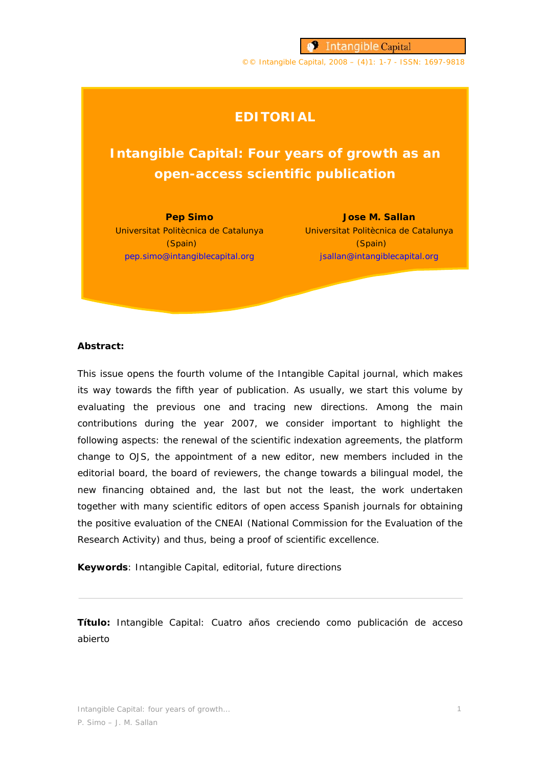**S** Intangible Capital

©© Intangible Capital, 2008 – (4)1: 1-7 - ISSN: 1697-9818

# **EDITORIAL**

# **Intangible Capital: Four years of growth as an open-access scientific publication**

**Pep Simo**  (Spain) pep.simo@intangiblecapital.org

Universitat Politècnica de Catalunya Universitat Politècnica de Catalunya **Jose M. Sallan** (Spain) jsallan@intangiblecapital.org

### *Abstract:*

This issue opens the fourth volume of the Intangible Capital journal, which makes its way towards the fifth year of publication. As usually, we start this volume by evaluating the previous one and tracing new directions. Among the main contributions during the year 2007, we consider important to highlight the following aspects: the renewal of the scientific indexation agreements, the platform change to OJS, the appointment of a new editor, new members included in the editorial board, the board of reviewers, the change towards a bilingual model, the new financing obtained and, the last but not the least, the work undertaken together with many scientific editors of open access Spanish journals for obtaining the positive evaluation of the CNEAI (National Commission for the Evaluation of the Research Activity) and thus, being a proof of scientific excellence.

*Keywords*: Intangible Capital, editorial, future directions

*Título:* Intangible Capital: Cuatro años creciendo como publicación de acceso abierto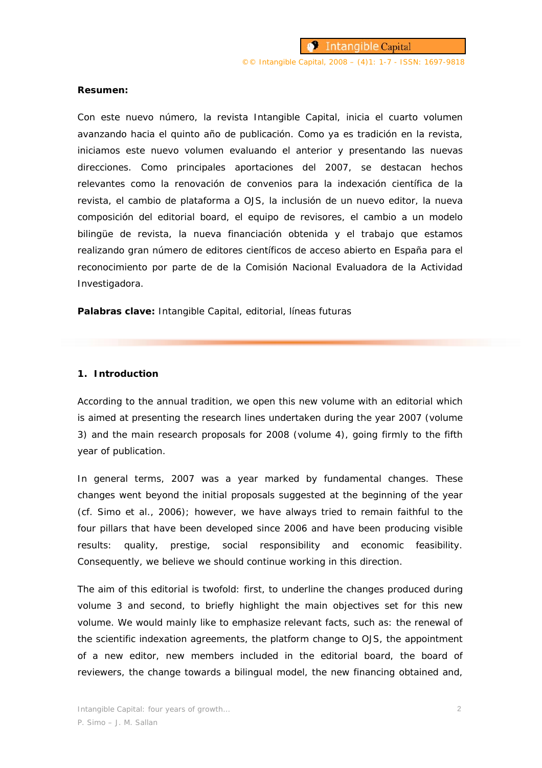#### *Resumen:*

Con este nuevo número, la revista Intangible Capital, inicia el cuarto volumen avanzando hacia el quinto año de publicación. Como ya es tradición en la revista, iniciamos este nuevo volumen evaluando el anterior y presentando las nuevas direcciones. Como principales aportaciones del 2007, se destacan hechos relevantes como la renovación de convenios para la indexación científica de la revista, el cambio de plataforma a OJS, la inclusión de un nuevo editor, la nueva composición del *editorial board*, el equipo de revisores, el cambio a un modelo bilingüe de revista, la nueva financiación obtenida y el trabajo que estamos realizando gran número de editores científicos de acceso abierto en España para el reconocimiento por parte de de la Comisión Nacional Evaluadora de la Actividad Investigadora.

*Palabras clave:* Intangible Capital, editorial, líneas futuras

#### **1. Introduction**

According to the annual tradition, we open this new volume with an editorial which is aimed at presenting the research lines undertaken during the year 2007 (volume 3) and the main research proposals for 2008 (volume 4), going firmly to the fifth year of publication.

In general terms, 2007 was a year marked by fundamental changes. These changes went beyond the initial proposals suggested at the beginning of the year (cf. Simo et al., 2006); however, we have always tried to remain faithful to the four pillars that have been developed since 2006 and have been producing visible results: quality, prestige, social responsibility and economic feasibility. Consequently, we believe we should continue working in this direction.

The aim of this editorial is twofold: first, to underline the changes produced during volume 3 and second, to briefly highlight the main objectives set for this new volume. We would mainly like to emphasize relevant facts, such as: the renewal of the scientific indexation agreements, the platform change to OJS, the appointment of a new editor, new members included in the editorial board, the board of reviewers, the change towards a bilingual model, the new financing obtained and,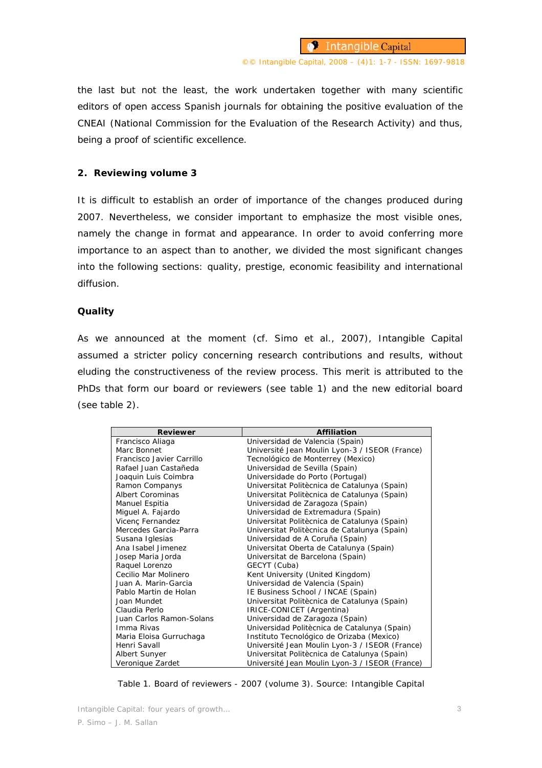the last but not the least, the work undertaken together with many scientific editors of open access Spanish journals for obtaining the positive evaluation of the CNEAI (National Commission for the Evaluation of the Research Activity) and thus, being a proof of scientific excellence.

#### **2. Reviewing volume 3**

It is difficult to establish an order of importance of the changes produced during 2007. Nevertheless, we consider important to emphasize the most visible ones, namely the change in format and appearance. In order to avoid conferring more importance to an aspect than to another, we divided the most significant changes into the following sections: quality, prestige, economic feasibility and international diffusion.

#### **Quality**

As we announced at the moment (cf. Simo et al., 2007), Intangible Capital assumed a stricter policy concerning research contributions and results, without eluding the constructiveness of the review process. This merit is attributed to the PhDs that form our board or reviewers (see table 1) and the new editorial board (see table 2).

| <b>Reviewer</b>           | <b>Affiliation</b>                             |
|---------------------------|------------------------------------------------|
| Francisco Aliaga          | Universidad de Valencia (Spain)                |
| Marc Bonnet               | Université Jean Moulin Lyon-3 / ISEOR (France) |
| Francisco Javier Carrillo | Tecnológico de Monterrey (Mexico)              |
| Rafael Juan Castañeda     | Universidad de Sevilla (Spain)                 |
| Joaquin Luis Coimbra      | Universidade do Porto (Portugal)               |
| Ramon Companys            | Universitat Politècnica de Catalunya (Spain)   |
| <b>Albert Corominas</b>   | Universitat Politècnica de Catalunya (Spain)   |
| Manuel Espitia            | Universidad de Zaragoza (Spain)                |
| Miguel A. Fajardo         | Universidad de Extremadura (Spain)             |
| Vicenç Fernandez          | Universitat Politècnica de Catalunya (Spain)   |
| Mercedes Garcia-Parra     | Universitat Politècnica de Catalunya (Spain)   |
| Susana Iglesias           | Universidad de A Coruña (Spain)                |
| Ana Isabel Jimenez        | Universitat Oberta de Catalunya (Spain)        |
| Josep Maria Jorda         | Universitat de Barcelona (Spain)               |
| Raquel Lorenzo            | GECYT (Cuba)                                   |
| Cecilio Mar Molinero      | Kent University (United Kingdom)               |
| Juan A. Marin-Garcia      | Universidad de Valencia (Spain)                |
| Pablo Martin de Holan     | IE Business School / INCAE (Spain)             |
| Joan Mundet               | Universitat Politècnica de Catalunya (Spain)   |
| Claudia Perlo             | IRICE-CONICET (Argentina)                      |
| Juan Carlos Ramon-Solans  | Universidad de Zaragoza (Spain)                |
| Imma Rivas                | Universidad Politècnica de Catalunya (Spain)   |
| Maria Eloisa Gurruchaga   | Instituto Tecnológico de Orizaba (Mexico)      |
| Henri Savall              | Université Jean Moulin Lyon-3 / ISEOR (France) |
| Albert Sunyer             | Universitat Politècnica de Catalunya (Spain)   |
| Veronique Zardet          | Université Jean Moulin Lyon-3 / ISEOR (France) |

Table 1. Board of reviewers - 2007 (volume 3). Source: Intangible Capital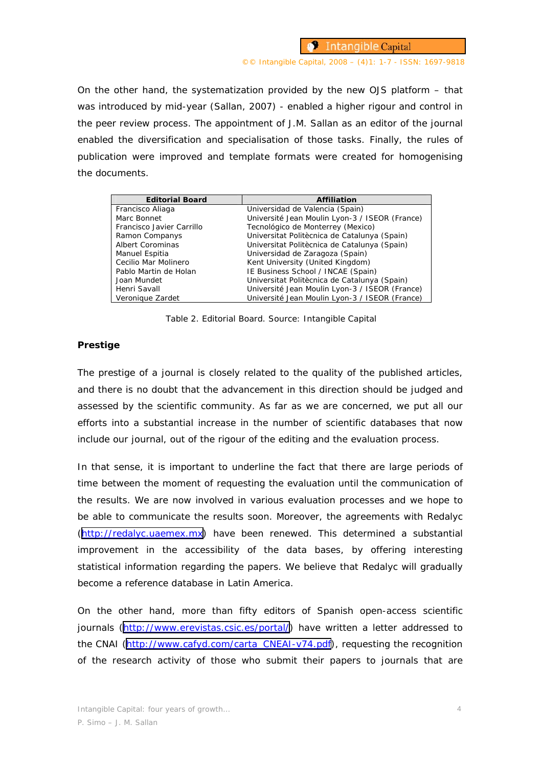**S** Intangible Capital

#### ©© Intangible Capital, 2008 – (4)1: 1-7 - ISSN: 1697-9818

On the other hand, the systematization provided by the new OJS platform – that was introduced by mid-year (Sallan, 2007) - enabled a higher rigour and control in the peer review process. The appointment of J.M. Sallan as an editor of the journal enabled the diversification and specialisation of those tasks. Finally, the rules of publication were improved and template formats were created for homogenising the documents.

| <b>Editorial Board</b>    | <b>Affiliation</b>                             |
|---------------------------|------------------------------------------------|
| Francisco Aliaga          | Universidad de Valencia (Spain)                |
| Marc Bonnet               | Université Jean Moulin Lyon-3 / ISEOR (France) |
| Francisco Javier Carrillo | Tecnológico de Monterrey (Mexico)              |
| Ramon Companys            | Universitat Politècnica de Catalunya (Spain)   |
| <b>Albert Corominas</b>   | Universitat Politècnica de Catalunya (Spain)   |
| Manuel Espitia            | Universidad de Zaragoza (Spain)                |
| Cecilio Mar Molinero      | Kent University (United Kingdom)               |
| Pablo Martin de Holan     | IE Business School / INCAE (Spain)             |
| Joan Mundet               | Universitat Politècnica de Catalunya (Spain)   |
| Henri Savall              | Université Jean Moulin Lyon-3 / ISEOR (France) |
| Veronique Zardet          | Université Jean Moulin Lyon-3 / ISEOR (France) |

Table 2. Editorial Board. Source: Intangible Capital

# **Prestige**

The prestige of a journal is closely related to the quality of the published articles, and there is no doubt that the advancement in this direction should be judged and assessed by the scientific community. As far as we are concerned, we put all our efforts into a substantial increase in the number of scientific databases that now include our journal, out of the rigour of the editing and the evaluation process.

In that sense, it is important to underline the fact that there are large periods of time between the moment of requesting the evaluation until the communication of the results. We are now involved in various evaluation processes and we hope to be able to communicate the results soon. Moreover, the agreements with Redalyc ([http://redalyc.uaemex.mx\)](http://redalyc.uaemex.mx) have been renewed. This determined a substantial improvement in the accessibility of the data bases, by offering interesting statistical information regarding the papers. We believe that Redalyc will gradually become a reference database in Latin America.

On the other hand, more than fifty editors of Spanish open-access scientific journals [\(http://www.erevistas.csic.es/portal/\)](http://www.erevistas.csic.es/portal/) have written a letter addressed to the CNAI ([http://www.cafyd.com/carta\\_CNEAI-v74.pdf](http://www.cafyd.com/carta_CNEAI-v74.pdf)), requesting the recognition of the research activity of those who submit their papers to journals that are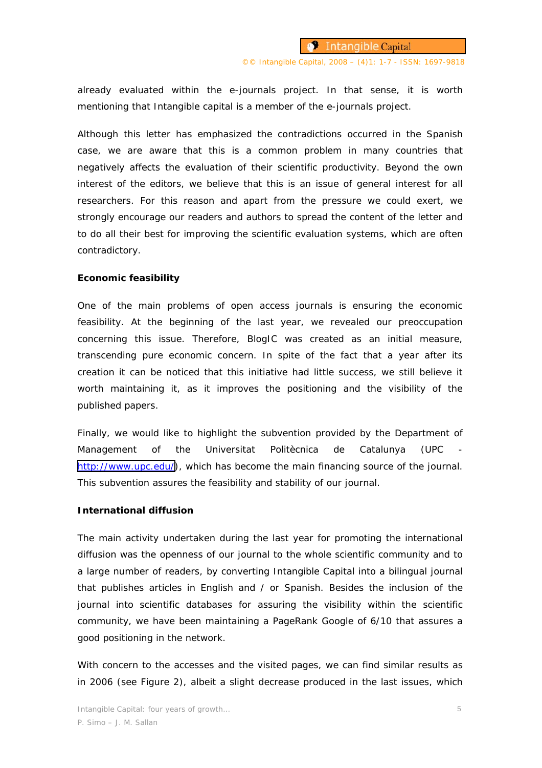already evaluated within the e-journals project. In that sense, it is worth mentioning that Intangible capital is a member of the e-journals project.

Although this letter has emphasized the contradictions occurred in the Spanish case, we are aware that this is a common problem in many countries that negatively affects the evaluation of their scientific productivity. Beyond the own interest of the editors, we believe that this is an issue of general interest for all researchers. For this reason and apart from the pressure we could exert, we strongly encourage our readers and authors to spread the content of the letter and to do all their best for improving the scientific evaluation systems, which are often contradictory.

#### **Economic feasibility**

One of the main problems of open access journals is ensuring the economic feasibility. At the beginning of the last year, we revealed our preoccupation concerning this issue. Therefore, BlogIC was created as an initial measure, transcending pure economic concern. In spite of the fact that a year after its creation it can be noticed that this initiative had little success, we still believe it worth maintaining it, as it improves the positioning and the visibility of the published papers.

Finally, we would like to highlight the subvention provided by the Department of Management of the Universitat Politècnica de Catalunya (UPC [http://www.upc.edu/\)](http://www.upc.edu/), which has become the main financing source of the journal. This subvention assures the feasibility and stability of our journal.

#### **International diffusion**

The main activity undertaken during the last year for promoting the international diffusion was the openness of our journal to the whole scientific community and to a large number of readers, by converting Intangible Capital into a bilingual journal that publishes articles in English and / or Spanish. Besides the inclusion of the journal into scientific databases for assuring the visibility within the scientific community, we have been maintaining a PageRank Google of 6/10 that assures a good positioning in the network.

With concern to the accesses and the visited pages, we can find similar results as in 2006 (see Figure 2), albeit a slight decrease produced in the last issues, which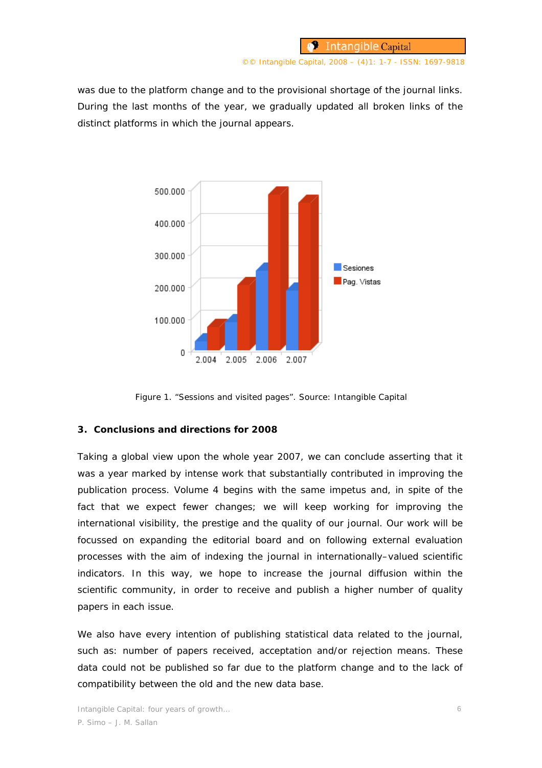©© Intangible Capital, 2008 – (4)1: 1-7 - ISSN: 1697-9818

was due to the platform change and to the provisional shortage of the journal links. During the last months of the year, we gradually updated all broken links of the distinct platforms in which the journal appears.



Figure 1. "Sessions and visited pages". Source: Intangible Capital

## **3. Conclusions and directions for 2008**

Taking a global view upon the whole year 2007, we can conclude asserting that it was a year marked by intense work that substantially contributed in improving the publication process. Volume 4 begins with the same impetus and, in spite of the fact that we expect fewer changes; we will keep working for improving the international visibility, the prestige and the quality of our journal. Our work will be focussed on expanding the editorial board and on following external evaluation processes with the aim of indexing the journal in internationally–valued scientific indicators. In this way, we hope to increase the journal diffusion within the scientific community, in order to receive and publish a higher number of quality papers in each issue.

We also have every intention of publishing statistical data related to the journal, such as: number of papers received, acceptation and/or rejection means. These data could not be published so far due to the platform change and to the lack of compatibility between the old and the new data base.